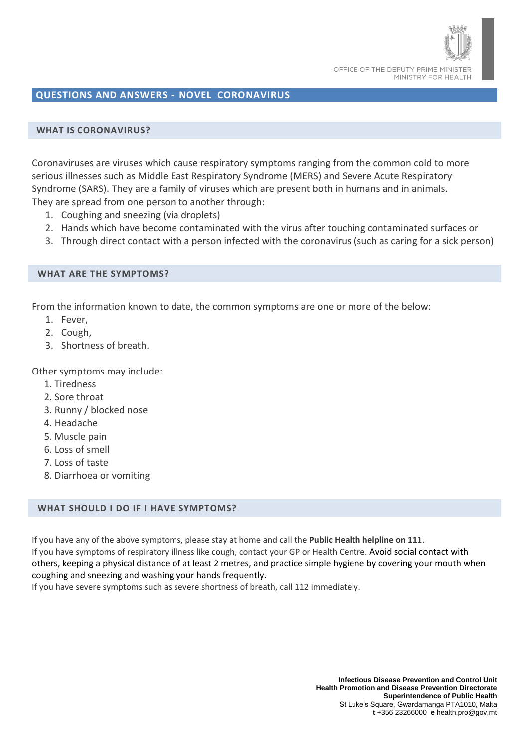

# **QUESTIONS AND ANSWERS - NOVEL CORONAVIRUS**

## **WHAT IS CORONAVIRUS?**

Coronaviruses are viruses which cause respiratory symptoms ranging from the common cold to more serious illnesses such as Middle East Respiratory Syndrome (MERS) and Severe Acute Respiratory Syndrome (SARS). They are a family of viruses which are present both in humans and in animals. They are spread from one person to another through:

- 1. Coughing and sneezing (via droplets)
- 2. Hands which have become contaminated with the virus after touching contaminated surfaces or
- 3. Through direct contact with a person infected with the coronavirus (such as caring for a sick person)

### **WHAT ARE THE SYMPTOMS?**

From the information known to date, the common symptoms are one or more of the below:

- 1. Fever,
- 2. Cough,
- 3. Shortness of breath.

Other symptoms may include:

- 1. Tiredness
- 2. Sore throat
- 3. Runny / blocked nose
- 4. Headache
- 5. Muscle pain
- 6. Loss of smell
- 7. Loss of taste
- 8. Diarrhoea or vomiting

## **WHAT SHOULD I DO IF I HAVE SYMPTOMS?**

If you have any of the above symptoms, please stay at home and call the **Public Health helpline on 111**. If you have symptoms of respiratory illness like cough, contact your GP or Health Centre. Avoid social contact with others, keeping a physical distance of at least 2 metres, and practice simple hygiene by covering your mouth when coughing and sneezing and washing your hands frequently.

If you have severe symptoms such as severe shortness of breath, call 112 immediately.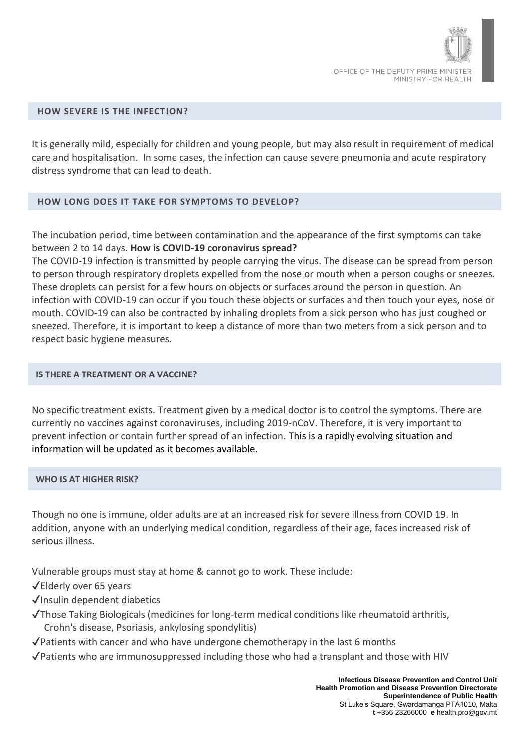

### **HOW SEVERE IS THE INFECTION?**

It is generally mild, especially for children and young people, but may also result in requirement of medical care and hospitalisation. In some cases, the infection can cause severe pneumonia and acute respiratory distress syndrome that can lead to death.

## **HOW LONG DOES IT TAKE FOR SYMPTOMS TO DEVELOP?**

The incubation period, time between contamination and the appearance of the first symptoms can take between 2 to 14 days. **How is COVID-19 coronavirus spread?**

The COVID-19 infection is transmitted by people carrying the virus. The disease can be spread from person to person through respiratory droplets expelled from the nose or mouth when a person coughs or sneezes. These droplets can persist for a few hours on objects or surfaces around the person in question. An infection with COVID-19 can occur if you touch these objects or surfaces and then touch your eyes, nose or mouth. COVID-19 can also be contracted by inhaling droplets from a sick person who has just coughed or sneezed. Therefore, it is important to keep a distance of more than two meters from a sick person and to respect basic hygiene measures.

#### **IS THERE A TREATMENT OR A VACCINE?**

No specific treatment exists. Treatment given by a medical doctor is to control the symptoms. There are currently no vaccines against coronaviruses, including 2019-nCoV. Therefore, it is very important to prevent infection or contain further spread of an infection. This is a rapidly evolving situation and information will be updated as it becomes available.

#### **WHO IS AT HIGHER RISK?**

Though no one is immune, older adults are at an increased risk for severe illness from COVID 19. In addition, anyone with an underlying medical condition, regardless of their age, faces increased risk of serious illness.

Vulnerable groups must stay at home & cannot go to work. These include:

✔️Elderly over 65 years

- ✔️Insulin dependent diabetics
- ✔️Those Taking Biologicals (medicines for long-term medical conditions like rheumatoid arthritis, Crohn's disease, Psoriasis, ankylosing spondylitis)
- $\sqrt{\frac{P}}$ Patients with cancer and who have undergone chemotherapy in the last 6 months
- ✔️Patients who are immunosuppressed including those who had a transplant and those with HIV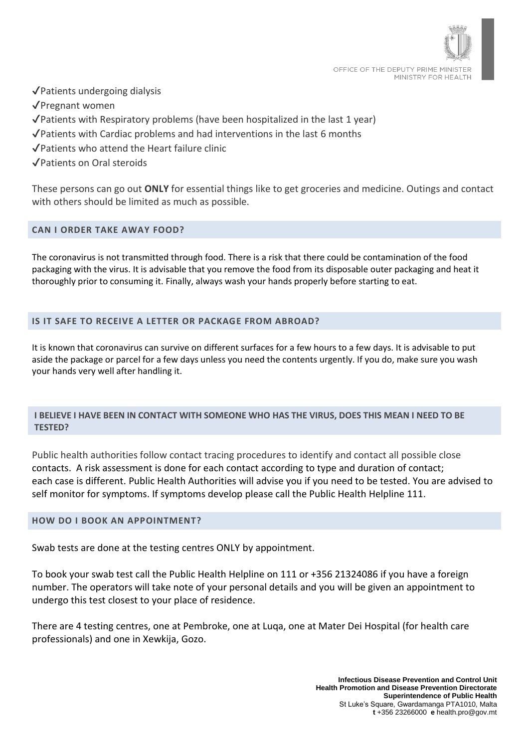

✔️Patients undergoing dialysis

✔️Pregnant women

- ✔️Patients with Respiratory problems (have been hospitalized in the last 1 year)
- ✔️Patients with Cardiac problems and had interventions in the last 6 months
- ✔️Patients who attend the Heart failure clinic

✔️Patients on Oral steroids

These persons can go out **ONLY** for essential things like to get groceries and medicine. Outings and contact with others should be limited as much as possible.

# **CAN I ORDER TAKE AWAY FOOD?**

The coronavirus is not transmitted through food. There is a risk that there could be contamination of the food packaging with the virus. It is advisable that you remove the food from its disposable outer packaging and heat it thoroughly prior to consuming it. Finally, always wash your hands properly before starting to eat.

# **IS IT SAFE TO RECEIVE A LETTER OR PACKAGE FROM ABROAD?**

It is known that coronavirus can survive on different surfaces for a few hours to a few days. It is advisable to put aside the package or parcel for a few days unless you need the contents urgently. If you do, make sure you wash your hands very well after handling it.

# **I BELIEVE I HAVE BEEN IN CONTACT WITH SOMEONE WHO HAS THE VIRUS, DOES THIS MEAN I NEED TO BE TESTED?**

Public health authorities follow contact tracing procedures to identify and contact all possible close contacts. A risk assessment is done for each contact according to type and duration of contact; each case is different. Public Health Authorities will advise you if you need to be tested. You are advised to self monitor for symptoms. If symptoms develop please call the Public Health Helpline 111.

## **HOW DO I BOOK AN APPOINTMENT?**

Swab tests are done at the testing centres ONLY by appointment.

To book your swab test call the Public Health Helpline on 111 or +356 21324086 if you have a foreign number. The operators will take note of your personal details and you will be given an appointment to undergo this test closest to your place of residence.

There are 4 testing centres, one at Pembroke, one at Luqa, one at Mater Dei Hospital (for health care professionals) and one in Xewkija, Gozo.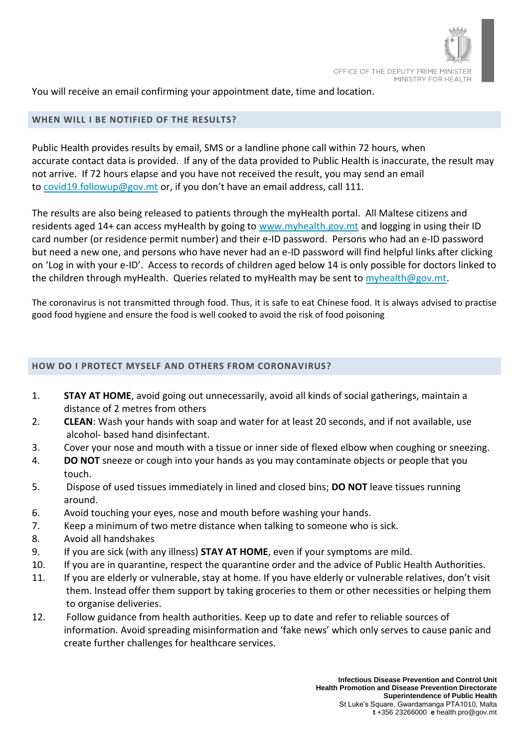

You will receive an email confirming your appointment date, time and location.

# **WHEN WILL I BE NOTIFIED OF THE RESULTS?**

Public Health provides results by email, SMS or a landline phone call within 72 hours, when accurate contact data is provided. If any of the data provided to Public Health is inaccurate, the result may not arrive. If 72 hours elapse and you have not received the result, you may send an email to [covid19.followup@gov.mt](mailto:covid19.followup@gov.mt) or, if you don't have an email address, call 111.

The results are also being released to patients through the myHealth portal. All Maltese citizens and residents aged 14+ can access myHealth by going to [www.myhealth.gov.mt](http://www.myhealth.gov.mt/) and logging in using their ID card number (or residence permit number) and their e-ID password. Persons who had an e-ID password but need a new one, and persons who have never had an e-ID password will find helpful links after clicking on 'Log in with your e-ID'. Access to records of children aged below 14 is only possible for doctors linked to the children through myHealth. Queries related to myHealth may be sent to [myhealth@gov.mt.](mailto:myhealth@gov.mt)

The coronavirus is not transmitted through food. Thus, it is safe to eat Chinese food. It is always advised to practise good food hygiene and ensure the food is well cooked to avoid the risk of food poisoning

# **HOW DO I PROTECT MYSELF AND OTHERS FROM CORONAVIRUS?**

- 1. **STAY AT HOME**, avoid going out unnecessarily, avoid all kinds of social gatherings, maintain a distance of 2 metres from others
- 2. **CLEAN**: Wash your hands with soap and water for at least 20 seconds, and if not available, use alcohol- based hand disinfectant.
- 3. Cover your nose and mouth with a tissue or inner side of flexed elbow when coughing or sneezing.
- 4. **DO NOT** sneeze or cough into your hands as you may contaminate objects or people that you touch.
- 5. Dispose of used tissues immediately in lined and closed bins; **DO NOT** leave tissues running around.
- 6. Avoid touching your eyes, nose and mouth before washing your hands.
- 7. Keep a minimum of two metre distance when talking to someone who is sick.
- 8. Avoid all handshakes
- 9. If you are sick (with any illness) **STAY AT HOME**, even if your symptoms are mild.
- 10. If you are in quarantine, respect the quarantine order and the advice of Public Health Authorities.
- 11. If you are elderly or vulnerable, stay at home. If you have elderly or vulnerable relatives, don't visit them. Instead offer them support by taking groceries to them or other necessities or helping them to organise deliveries.
- 12. Follow guidance from health authorities. Keep up to date and refer to reliable sources of information. Avoid spreading misinformation and 'fake news' which only serves to cause panic and create further challenges for healthcare services.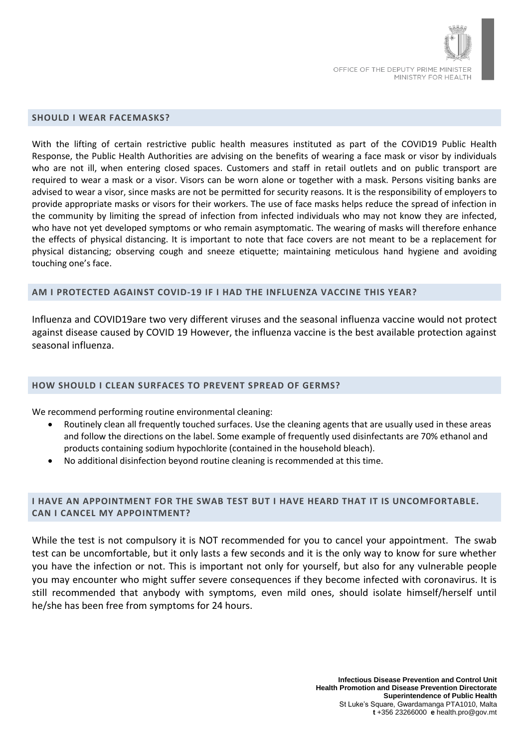

#### **SHOULD I WEAR FACEMASKS?**

With the lifting of certain restrictive public health measures instituted as part of the COVID19 Public Health Response, the Public Health Authorities are advising on the benefits of wearing a face mask or visor by individuals who are not ill, when entering closed spaces. Customers and staff in retail outlets and on public transport are required to wear a mask or a visor. Visors can be worn alone or together with a mask. Persons visiting banks are advised to wear a visor, since masks are not be permitted for security reasons. It is the responsibility of employers to provide appropriate masks or visors for their workers. The use of face masks helps reduce the spread of infection in the community by limiting the spread of infection from infected individuals who may not know they are infected, who have not yet developed symptoms or who remain asymptomatic. The wearing of masks will therefore enhance the effects of physical distancing. It is important to note that face covers are not meant to be a replacement for physical distancing; observing cough and sneeze etiquette; maintaining meticulous hand hygiene and avoiding touching one's face.

#### **AM I PROTECTED AGAINST COVID-19 IF I HAD THE INFLUENZA VACCINE THIS YEAR?**

Influenza and COVID19are two very different viruses and the seasonal influenza vaccine would not protect against disease caused by COVID 19 However, the influenza vaccine is the best available protection against seasonal influenza.

#### **HOW SHOULD I CLEAN SURFACES TO PREVENT SPREAD OF GERMS?**

We recommend performing routine environmental cleaning:

- Routinely clean all frequently touched surfaces. Use the cleaning agents that are usually used in these areas and follow the directions on the label. Some example of frequently used disinfectants are 70% ethanol and products containing sodium hypochlorite (contained in the household bleach).
- No additional disinfection beyond routine cleaning is recommended at this time.

# **I HAVE AN APPOINTMENT FOR THE SWAB TEST BUT I HAVE HEARD THAT IT IS UNCOMFORTABLE. CAN I CANCEL MY APPOINTMENT?**

While the test is not compulsory it is NOT recommended for you to cancel your appointment. The swab test can be uncomfortable, but it only lasts a few seconds and it is the only way to know for sure whether you have the infection or not. This is important not only for yourself, but also for any vulnerable people you may encounter who might suffer severe consequences if they become infected with coronavirus. It is still recommended that anybody with symptoms, even mild ones, should isolate himself/herself until he/she has been free from symptoms for 24 hours.